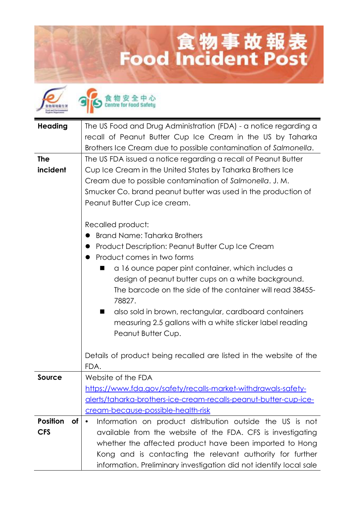## **Lood Incident Post**

食物安全中心<br>Centre for food Safety

| <b>Heading</b>               |                                                                            |
|------------------------------|----------------------------------------------------------------------------|
|                              | The US Food and Drug Administration (FDA) - a notice regarding a           |
|                              | recall of Peanut Butter Cup Ice Cream in the US by Taharka                 |
|                              | Brothers Ice Cream due to possible contamination of Salmonella.            |
| <b>The</b>                   | The US FDA issued a notice regarding a recall of Peanut Butter             |
| incident                     | Cup Ice Cream in the United States by Taharka Brothers Ice                 |
|                              | Cream due to possible contamination of Salmonella. J.M.                    |
|                              | Smucker Co. brand peanut butter was used in the production of              |
|                              | Peanut Butter Cup ice cream.                                               |
|                              |                                                                            |
|                              | Recalled product:                                                          |
|                              | <b>Brand Name: Taharka Brothers</b>                                        |
|                              | Product Description: Peanut Butter Cup Ice Cream<br>$\bullet$              |
|                              | Product comes in two forms                                                 |
|                              | a 16 ounce paper pint container, which includes a                          |
|                              | design of peanut butter cups on a white background.                        |
|                              | The barcode on the side of the container will read 38455-                  |
|                              | 78827.                                                                     |
|                              |                                                                            |
|                              | also sold in brown, rectangular, cardboard containers<br>■                 |
|                              | measuring 2.5 gallons with a white sticker label reading                   |
|                              | Peanut Butter Cup.                                                         |
|                              |                                                                            |
|                              | Details of product being recalled are listed in the website of the<br>FDA. |
|                              |                                                                            |
| <b>Source</b>                | Website of the FDA                                                         |
|                              | https://www.fda.gov/safety/recalls-market-withdrawals-safety-              |
|                              | alerts/taharka-brothers-ice-cream-recalls-peanut-butter-cup-ice-           |
|                              | cream-because-possible-health-risk                                         |
| <b>Position</b><br><b>of</b> | Information on product distribution outside the US is not<br>$\bullet$     |
| <b>CFS</b>                   | available from the website of the FDA. CFS is investigating                |
|                              | whether the affected product have been imported to Hong                    |
|                              | Kong and is contacting the relevant authority for further                  |
|                              | information. Preliminary investigation did not identify local sale         |